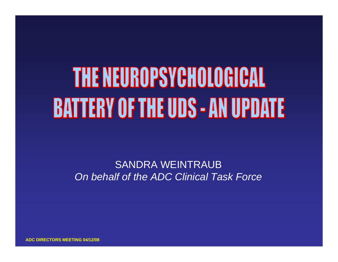# THE NEUROPSYCHOLOGICAL **BATTERY OF THE UDS - AN UPDATE**

SANDRA WEINTRAUB*On behalf of the ADC Clinical Task Force*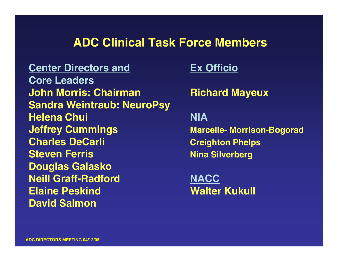### **ADC Clinical Task Force Members**

**Center Directors andCore Leaders John Morris: ChairmanSandra Weintraub: NeuroPsy Helena Chui Jeffrey Cummings Marcelle- Morrison-Bogorad Charles DeCarli Creighton Phelps Steven Ferris** Nina Silverberg **Douglas Galasko Neill Graff-RadfordElaine Peskind Walter Kukull David Salmon**

**Ex Officio**

**Richard Mayeux**

#### **NIA**

**NACC**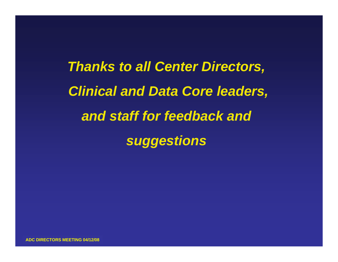*Thanks to all Center Directors, Clinical and Data Core leaders, and staff for feedback and suggestions*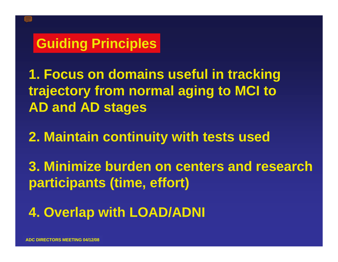# **Guiding Principles**

**1. Focus on domains useful in tracking trajectory from normal aging to MCI to AD and AD stages**

**2. Maintain continuity with tests used**

**3. Minimize burden on centers and research participants (time, effort)**

**4. Overlap with LOAD/ADNI**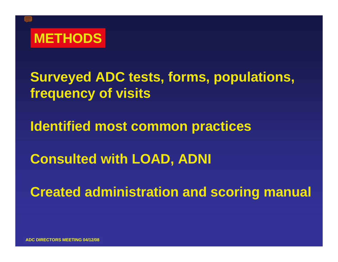

**Surveyed ADC tests, forms, populations, frequency of visits**

**Identified most common practices**

**Consulted with LOAD, ADNI**

**Created administration and scoring manual**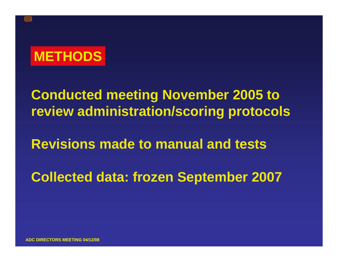

**Conducted meeting November 2005 to review administration/scoring protocols**

**Revisions made to manual and tests**

**Collected data: frozen September 2007**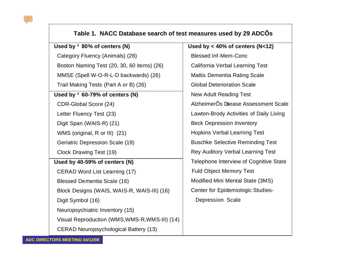#### $\frac{1}{2}$

#### **Table 1. NACC Database search of test measures used by 29 ADCÕs**

#### **Used by ³ 80% of centers (N)**

 Category Fluency (Animals) (28) Boston Naming Test (20, 30, 60 items) (26)

MMSE (Spell W-O-R-L-D backwards) (26)

Trail Making Tests (Part A or B) (26)

#### **Used by ³ 60-79% of centers (N)**

CDR-Global Score (24)

Letter Fluency Test (23)

Digit Span (WAIS-R) (21)

WMS (original, R or III) (21)

Geriatric Depression Scale (19)

Clock Drawing Test (19)

#### **Used by 40-59% of centers (N)**

CERAD Word List Learning (17)

Blessed Dementia Scale (16)

Block Designs (WAIS, WAIS-R, WAIS-III) (16)

Digit Symbol (16)

Neuropsychiatric Inventory (15)

Visual Reproduction (WMS,WMS-R,WMS-III) (14)

CERAD Neuropsychological Battery (13)

**Used by < 40% of centers (N<12)** Blessed Inf-Mem-Conc California Verbal Learning Test Mattis Dementia Rating Scale Global Deterioration Scale New Adult Reading Test AlzheimerÕs Disease Assessment Scale Lawton-Brody Activities of Daily Living Beck Depression Inventory Hopkins Verbal Learning Test Buschke Selective Reminding Test Rey Auditory Verbal Learning Test Telephone Interview of Cognitive State Fuld Object Memory Test Modified Mini Mental State (3MS) Center for Epidemiologic Studies- Depression Scale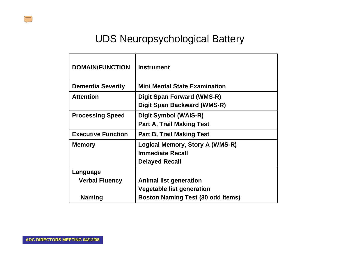#### UDS Neuropsychological Battery

| <b>DOMAIN/FUNCTION</b>    | <b>Instrument</b>                        |
|---------------------------|------------------------------------------|
| <b>Dementia Severity</b>  | <b>Mini Mental State Examination</b>     |
| <b>Attention</b>          | Digit Span Forward (WMS-R)               |
|                           | Digit Span Backward (WMS-R)              |
| <b>Processing Speed</b>   | Digit Symbol (WAIS-R)                    |
|                           | <b>Part A, Trail Making Test</b>         |
| <b>Executive Function</b> | <b>Part B, Trail Making Test</b>         |
| <b>Memory</b>             | Logical Memory, Story A (WMS-R)          |
|                           | <b>Immediate Recall</b>                  |
|                           | <b>Delayed Recall</b>                    |
| Language                  |                                          |
| <b>Verbal Fluency</b>     | <b>Animal list generation</b>            |
|                           | <b>Vegetable list generation</b>         |
| <b>Naming</b>             | <b>Boston Naming Test (30 odd items)</b> |

 $\sqrt{|||}$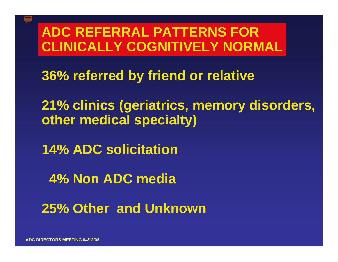# **ADC REFERRAL PATTERNS FOR CLINICALLY COGNITIVELY NORMAL**

**36% referred by friend or relative**

**21% clinics (geriatrics, memory disorders, other medical specialty)**

**14% ADC solicitation**

**4% Non ADC media** 

**25% Other and Unknown**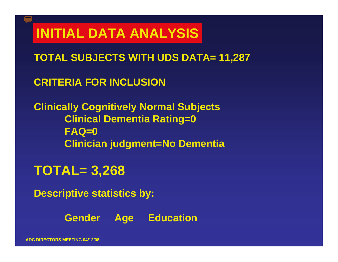# **INITIAL DATA ANALYSIS**

**TOTAL SUBJECTS WITH UDS DATA= 11,287**

**CRITERIA FOR INCLUSION**

**Clinically Cognitively Normal Subjects Clinical Dementia Rating=0 FAQ=0 Clinician judgment=No Dementia**

# **TOTAL= 3,268**

**Descriptive statistics by:**

**Gender Age Education**

**ADC DIRECTORS MEETING 04/12/08**

T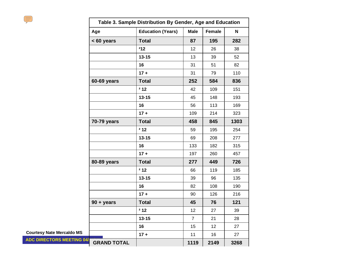|                                  | Table 3. Sample Distribution By Gender, Age and Education |                          |                |        |      |  |  |
|----------------------------------|-----------------------------------------------------------|--------------------------|----------------|--------|------|--|--|
|                                  | Age                                                       | <b>Education (Years)</b> | <b>Male</b>    | Female | N    |  |  |
|                                  | < 60 years                                                | <b>Total</b>             | 87             | 195    | 282  |  |  |
|                                  |                                                           | 212                      | 12             | 26     | 38   |  |  |
|                                  |                                                           | $13 - 15$                | 13             | 39     | 52   |  |  |
|                                  |                                                           | 16                       | 31             | 51     | 82   |  |  |
|                                  |                                                           | $17 +$                   | 31             | 79     | 110  |  |  |
|                                  | 60-69 years                                               | <b>Total</b>             | 252            | 584    | 836  |  |  |
|                                  |                                                           | 212                      | 42             | 109    | 151  |  |  |
|                                  |                                                           | $13 - 15$                | 45             | 148    | 193  |  |  |
|                                  |                                                           | 16                       | 56             | 113    | 169  |  |  |
|                                  |                                                           | $17 +$                   | 109            | 214    | 323  |  |  |
|                                  | 70-79 years                                               | <b>Total</b>             | 458            | 845    | 1303 |  |  |
|                                  |                                                           | 212                      | 59             | 195    | 254  |  |  |
|                                  |                                                           | $13 - 15$                | 69             | 208    | 277  |  |  |
|                                  |                                                           | 16                       | 133            | 182    | 315  |  |  |
|                                  |                                                           | $17 +$                   | 197            | 260    | 457  |  |  |
|                                  | 80-89 years                                               | <b>Total</b>             | 277            | 449    | 726  |  |  |
|                                  |                                                           | 212                      | 66             | 119    | 185  |  |  |
|                                  |                                                           | $13 - 15$                | 39             | 96     | 135  |  |  |
|                                  |                                                           | 16                       | 82             | 108    | 190  |  |  |
|                                  |                                                           | $17 +$                   | 90             | 126    | 216  |  |  |
|                                  | $90 + years$                                              | <b>Total</b>             | 45             | 76     | 121  |  |  |
|                                  |                                                           | 212                      | 12             | 27     | 39   |  |  |
|                                  |                                                           | $13 - 15$                | $\overline{7}$ | 21     | 28   |  |  |
|                                  |                                                           | 16                       | 15             | 12     | 27   |  |  |
| <b>Courtesy Nate Mercaldo MS</b> |                                                           | $17 +$                   | 11             | 16     | 27   |  |  |
| <b>ADC DIRECTORS MEETING 04/</b> | <b>GRAND TOTAL</b>                                        |                          | 1119           | 2149   | 3268 |  |  |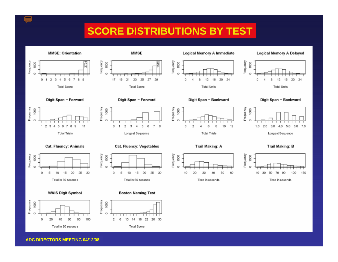### **SCORE DISTRIBUTIONS BY TEST**

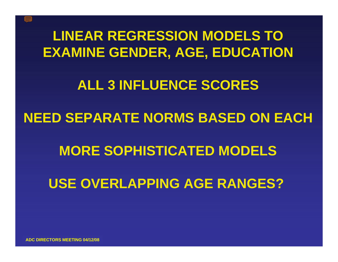# **LINEAR REGRESSION MODELS TOEXAMINE GENDER, AGE, EDUCATION**

# **ALL 3 INFLUENCE SCORES**

## **NEED SEPARATE NORMS BASED ON EACH**

# **MORE SOPHISTICATED MODELS**

# **USE OVERLAPPING AGE RANGES?**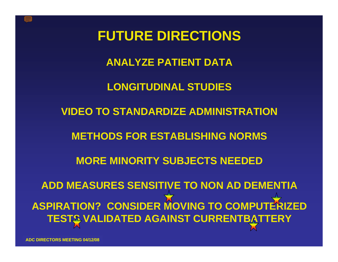

### **ANALYZE PATIENT DATA**

### **LONGITUDINAL STUDIES**

#### **VIDEO TO STANDARDIZE ADMINISTRATION**

#### **METHODS FOR ESTABLISHING NORMS**

### **MORE MINORITY SUBJECTS NEEDED**

**ADD MEASURES SENSITIVE TO NON AD DEMENTIA ASPIRATION? CONSIDER MOVING TO COMPUTERIZEDTESTS VALIDATED AGAINST CURRENTBATTERY**